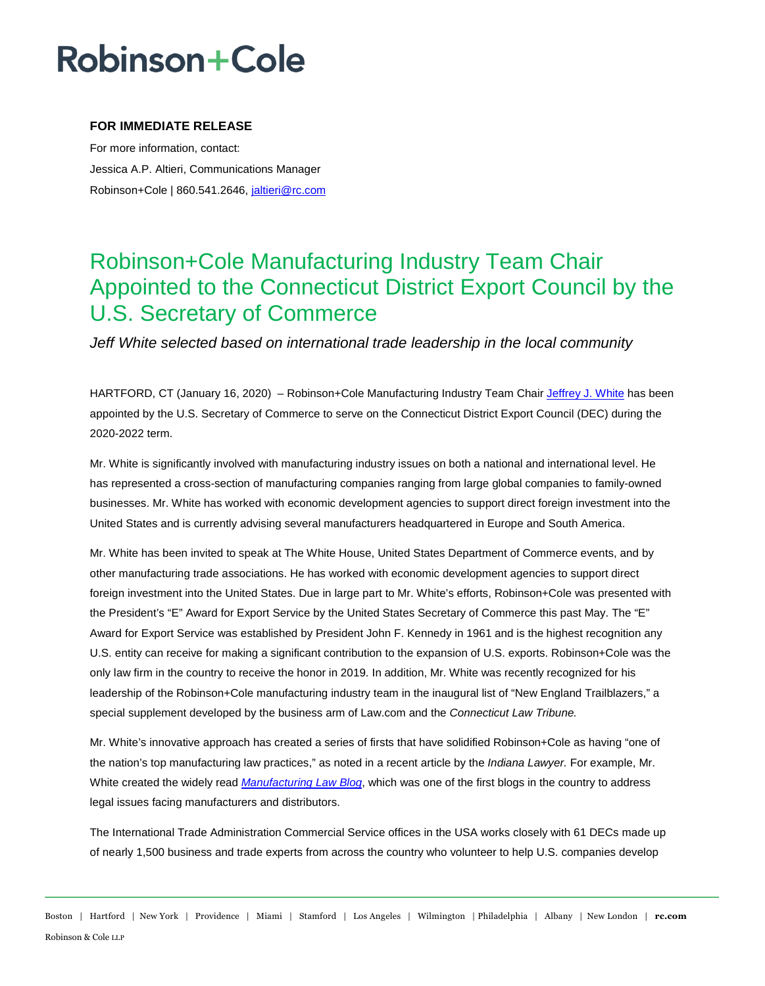## **Robinson+Cole**

### **FOR IMMEDIATE RELEASE**

For more information, contact: Jessica A.P. Altieri, Communications Manager Robinson+Cole | 860.541.2646, jaltieri@rc.com

## Robinson+Cole Manufacturing Industry Team Chair Appointed to the Connecticut District Export Council by the U.S. Secretary of Commerce

*Jeff White selected based on international trade leadership in the local community* 

HARTFORD, CT (January 16, 2020) – Robinson+Cole Manufacturing Industry Team Chair Jeffrey J. White has been appointed by the U.S. Secretary of Commerce to serve on the Connecticut District Export Council (DEC) during the 2020-2022 term.

Mr. White is significantly involved with manufacturing industry issues on both a national and international level. He has represented a cross-section of manufacturing companies ranging from large global companies to family-owned businesses. Mr. White has worked with economic development agencies to support direct foreign investment into the United States and is currently advising several manufacturers headquartered in Europe and South America.

Mr. White has been invited to speak at The White House, United States Department of Commerce events, and by other manufacturing trade associations. He has worked with economic development agencies to support direct foreign investment into the United States. Due in large part to Mr. White's efforts, Robinson+Cole was presented with the President's "E" Award for Export Service by the United States Secretary of Commerce this past May. The "E" Award for Export Service was established by President John F. Kennedy in 1961 and is the highest recognition any U.S. entity can receive for making a significant contribution to the expansion of U.S. exports. Robinson+Cole was the only law firm in the country to receive the honor in 2019. In addition, Mr. White was recently recognized for his leadership of the Robinson+Cole manufacturing industry team in the inaugural list of "New England Trailblazers," a special supplement developed by the business arm of Law.com and the *Connecticut Law Tribune.* 

Mr. White's innovative approach has created a series of firsts that have solidified Robinson+Cole as having "one of the nation's top manufacturing law practices," as noted in a recent article by the *Indiana Lawyer.* For example, Mr. White created the widely read *Manufacturing Law Blog*, which was one of the first blogs in the country to address legal issues facing manufacturers and distributors.

The International Trade Administration Commercial Service offices in the USA works closely with 61 DECs made up of nearly 1,500 business and trade experts from across the country who volunteer to help U.S. companies develop

Boston | Hartford | New York | Providence | Miami | Stamford | Los Angeles | Wilmington | Philadelphia | Albany | New London | **rc.com** Robinson & Cole LLP